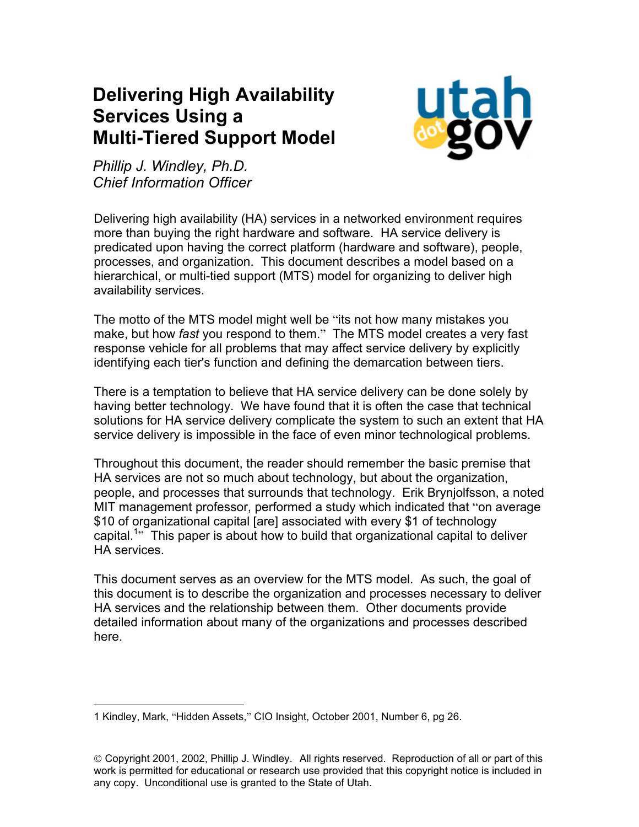# **Delivering High Availability Services Using a Multi-Tiered Support Model**



*Phillip J. Windley, Ph.D. Chief Information Officer*

Delivering high availability (HA) services in a networked environment requires more than buying the right hardware and software. HA service delivery is predicated upon having the correct platform (hardware and software), people, processes, and organization. This document describes a model based on a hierarchical, or multi-tied support (MTS) model for organizing to deliver high availability services.

The motto of the MTS model might well be "its not how many mistakes you make, but how *fast* you respond to them." The MTS model creates a very fast response vehicle for all problems that may affect service delivery by explicitly identifying each tier's function and defining the demarcation between tiers.

There is a temptation to believe that HA service delivery can be done solely by having better technology. We have found that it is often the case that technical solutions for HA service delivery complicate the system to such an extent that HA service delivery is impossible in the face of even minor technological problems.

Throughout this document, the reader should remember the basic premise that HA services are not so much about technology, but about the organization, people, and processes that surrounds that technology. Erik Brynjolfsson, a noted MIT management professor, performed a study which indicated that "on average \$10 of organizational capital [are] associated with every \$1 of technology capital.<sup>[1](#page-0-0)</sup><sup>3</sup> This paper is about how to build that organizational capital to deliver HA services.

This document serves as an overview for the MTS model. As such, the goal of this document is to describe the organization and processes necessary to deliver HA services and the relationship between them. Other documents provide detailed information about many of the organizations and processes described here.

<span id="page-0-0"></span> <sup>1</sup> Kindley, Mark, "Hidden Assets," CIO Insight, October 2001, Number 6, pg 26.

Copyright 2001, 2002, Phillip J. Windley. All rights reserved. Reproduction of all or part of this work is permitted for educational or research use provided that this copyright notice is included in any copy. Unconditional use is granted to the State of Utah.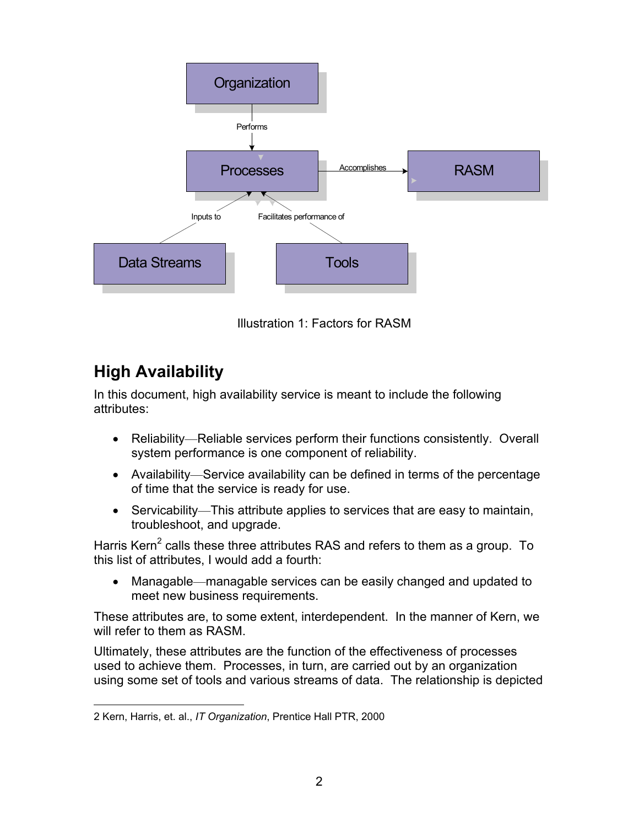

Illustration 1: Factors for RASM

## **High Availability**

In this document, high availability service is meant to include the following attributes:

- Reliability—Reliable services perform their functions consistently. Overall system performance is one component of reliability.
- Availability—Service availability can be defined in terms of the percentage of time that the service is ready for use.
- Servicability—This attribute applies to services that are easy to maintain, troubleshoot, and upgrade.

Harris Kern<sup>[2](#page-1-0)</sup> calls these three attributes RAS and refers to them as a group. To this list of attributes, I would add a fourth:

• Managable—managable services can be easily changed and updated to meet new business requirements.

These attributes are, to some extent, interdependent. In the manner of Kern, we will refer to them as RASM.

Ultimately, these attributes are the function of the effectiveness of processes used to achieve them. Processes, in turn, are carried out by an organization using some set of tools and various streams of data. The relationship is depicted

<span id="page-1-0"></span> <sup>2</sup> Kern, Harris, et. al., *IT Organization*, Prentice Hall PTR, 2000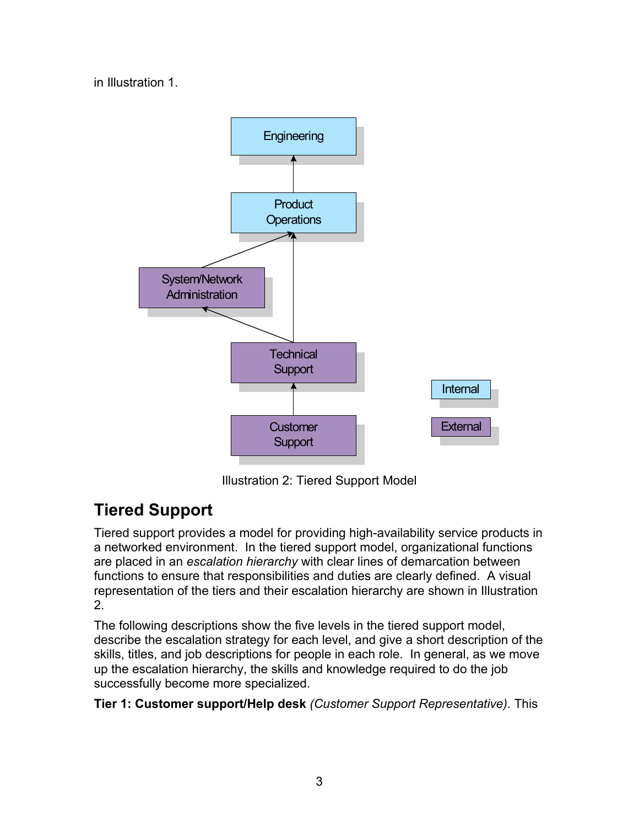in Illustration 1.



Illustration 2: Tiered Support Model

# **Tiered Support**

Tiered support provides a model for providing high-availability service products in a networked environment. In the tiered support model, organizational functions are placed in an *escalation hierarchy* with clear lines of demarcation between functions to ensure that responsibilities and duties are clearly defined. A visual representation of the tiers and their escalation hierarchy are shown in Illustration 2.

The following descriptions show the five levels in the tiered support model, describe the escalation strategy for each level, and give a short description of the skills, titles, and job descriptions for people in each role. In general, as we move up the escalation hierarchy, the skills and knowledge required to do the job successfully become more specialized.

**Tier 1: Customer support/Help desk** *(Customer Support Representative)*. This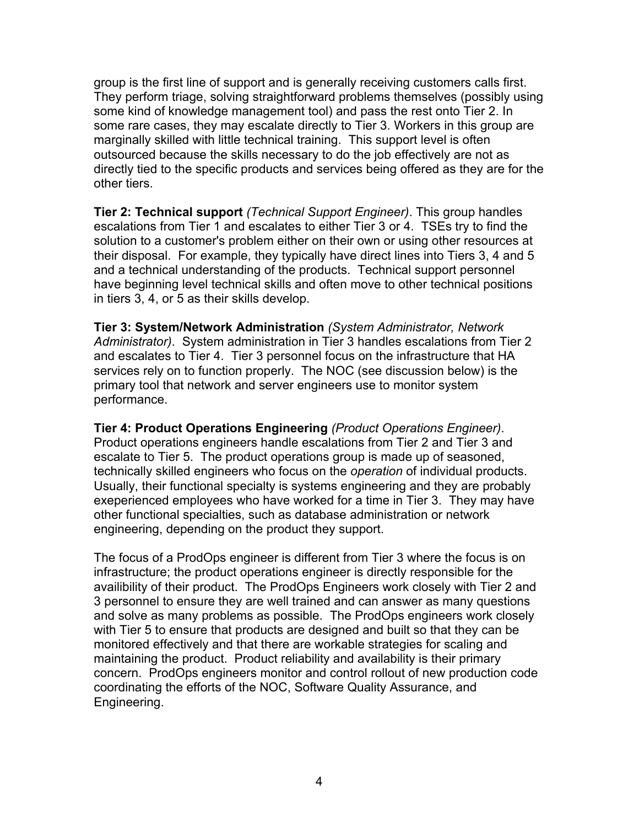group is the first line of support and is generally receiving customers calls first. They perform triage, solving straightforward problems themselves (possibly using some kind of knowledge management tool) and pass the rest onto Tier 2. In some rare cases, they may escalate directly to Tier 3. Workers in this group are marginally skilled with little technical training. This support level is often outsourced because the skills necessary to do the job effectively are not as directly tied to the specific products and services being offered as they are for the other tiers.

**Tier 2: Technical support** *(Technical Support Engineer)*. This group handles escalations from Tier 1 and escalates to either Tier 3 or 4. TSEs try to find the solution to a customer's problem either on their own or using other resources at their disposal. For example, they typically have direct lines into Tiers 3, 4 and 5 and a technical understanding of the products. Technical support personnel have beginning level technical skills and often move to other technical positions in tiers 3, 4, or 5 as their skills develop.

**Tier 3: System/Network Administration** *(System Administrator, Network Administrator)*. System administration in Tier 3 handles escalations from Tier 2 and escalates to Tier 4. Tier 3 personnel focus on the infrastructure that HA services rely on to function properly. The NOC (see discussion below) is the primary tool that network and server engineers use to monitor system performance.

**Tier 4: Product Operations Engineering** *(Product Operations Engineer)*. Product operations engineers handle escalations from Tier 2 and Tier 3 and escalate to Tier 5. The product operations group is made up of seasoned, technically skilled engineers who focus on the *operation* of individual products. Usually, their functional specialty is systems engineering and they are probably exeperienced employees who have worked for a time in Tier 3. They may have other functional specialties, such as database administration or network engineering, depending on the product they support.

The focus of a ProdOps engineer is different from Tier 3 where the focus is on infrastructure; the product operations engineer is directly responsible for the availibility of their product. The ProdOps Engineers work closely with Tier 2 and 3 personnel to ensure they are well trained and can answer as many questions and solve as many problems as possible. The ProdOps engineers work closely with Tier 5 to ensure that products are designed and built so that they can be monitored effectively and that there are workable strategies for scaling and maintaining the product. Product reliability and availability is their primary concern. ProdOps engineers monitor and control rollout of new production code coordinating the efforts of the NOC, Software Quality Assurance, and Engineering.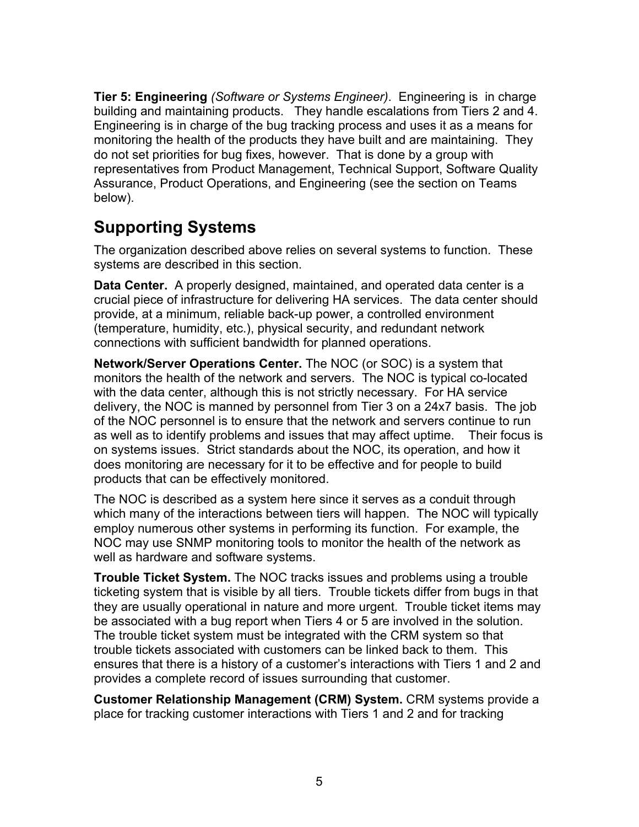**Tier 5: Engineering** *(Software or Systems Engineer)*. Engineering is in charge building and maintaining products. They handle escalations from Tiers 2 and 4. Engineering is in charge of the bug tracking process and uses it as a means for monitoring the health of the products they have built and are maintaining. They do not set priorities for bug fixes, however. That is done by a group with representatives from Product Management, Technical Support, Software Quality Assurance, Product Operations, and Engineering (see the section on Teams below).

### **Supporting Systems**

The organization described above relies on several systems to function. These systems are described in this section.

**Data Center.** A properly designed, maintained, and operated data center is a crucial piece of infrastructure for delivering HA services. The data center should provide, at a minimum, reliable back-up power, a controlled environment (temperature, humidity, etc.), physical security, and redundant network connections with sufficient bandwidth for planned operations.

**Network/Server Operations Center.** The NOC (or SOC) is a system that monitors the health of the network and servers. The NOC is typical co-located with the data center, although this is not strictly necessary. For HA service delivery, the NOC is manned by personnel from Tier 3 on a 24x7 basis. The job of the NOC personnel is to ensure that the network and servers continue to run as well as to identify problems and issues that may affect uptime. Their focus is on systems issues. Strict standards about the NOC, its operation, and how it does monitoring are necessary for it to be effective and for people to build products that can be effectively monitored.

The NOC is described as a system here since it serves as a conduit through which many of the interactions between tiers will happen. The NOC will typically employ numerous other systems in performing its function. For example, the NOC may use SNMP monitoring tools to monitor the health of the network as well as hardware and software systems.

**Trouble Ticket System.** The NOC tracks issues and problems using a trouble ticketing system that is visible by all tiers. Trouble tickets differ from bugs in that they are usually operational in nature and more urgent. Trouble ticket items may be associated with a bug report when Tiers 4 or 5 are involved in the solution. The trouble ticket system must be integrated with the CRM system so that trouble tickets associated with customers can be linked back to them. This ensures that there is a history of a customer's interactions with Tiers 1 and 2 and provides a complete record of issues surrounding that customer.

**Customer Relationship Management (CRM) System.** CRM systems provide a place for tracking customer interactions with Tiers 1 and 2 and for tracking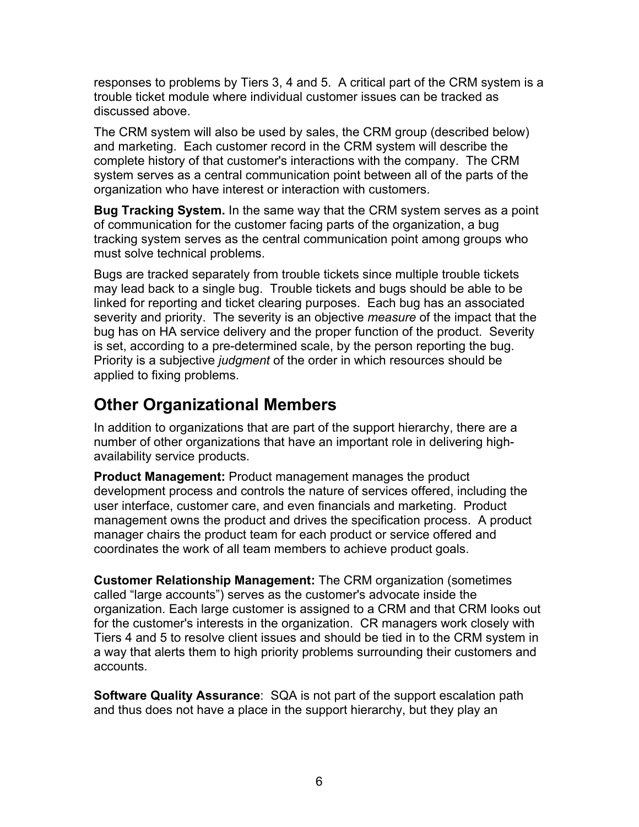responses to problems by Tiers 3, 4 and 5. A critical part of the CRM system is a trouble ticket module where individual customer issues can be tracked as discussed above.

The CRM system will also be used by sales, the CRM group (described below) and marketing. Each customer record in the CRM system will describe the complete history of that customer's interactions with the company. The CRM system serves as a central communication point between all of the parts of the organization who have interest or interaction with customers.

**Bug Tracking System.** In the same way that the CRM system serves as a point of communication for the customer facing parts of the organization, a bug tracking system serves as the central communication point among groups who must solve technical problems.

Bugs are tracked separately from trouble tickets since multiple trouble tickets may lead back to a single bug. Trouble tickets and bugs should be able to be linked for reporting and ticket clearing purposes. Each bug has an associated severity and priority. The severity is an objective *measure* of the impact that the bug has on HA service delivery and the proper function of the product. Severity is set, according to a pre-determined scale, by the person reporting the bug. Priority is a subjective *judgment* of the order in which resources should be applied to fixing problems.

### **Other Organizational Members**

In addition to organizations that are part of the support hierarchy, there are a number of other organizations that have an important role in delivering highavailability service products.

**Product Management:** Product management manages the product development process and controls the nature of services offered, including the user interface, customer care, and even financials and marketing. Product management owns the product and drives the specification process. A product manager chairs the product team for each product or service offered and coordinates the work of all team members to achieve product goals.

**Customer Relationship Management:** The CRM organization (sometimes called "large accounts") serves as the customer's advocate inside the organization. Each large customer is assigned to a CRM and that CRM looks out for the customer's interests in the organization. CR managers work closely with Tiers 4 and 5 to resolve client issues and should be tied in to the CRM system in a way that alerts them to high priority problems surrounding their customers and accounts.

**Software Quality Assurance**: SQA is not part of the support escalation path and thus does not have a place in the support hierarchy, but they play an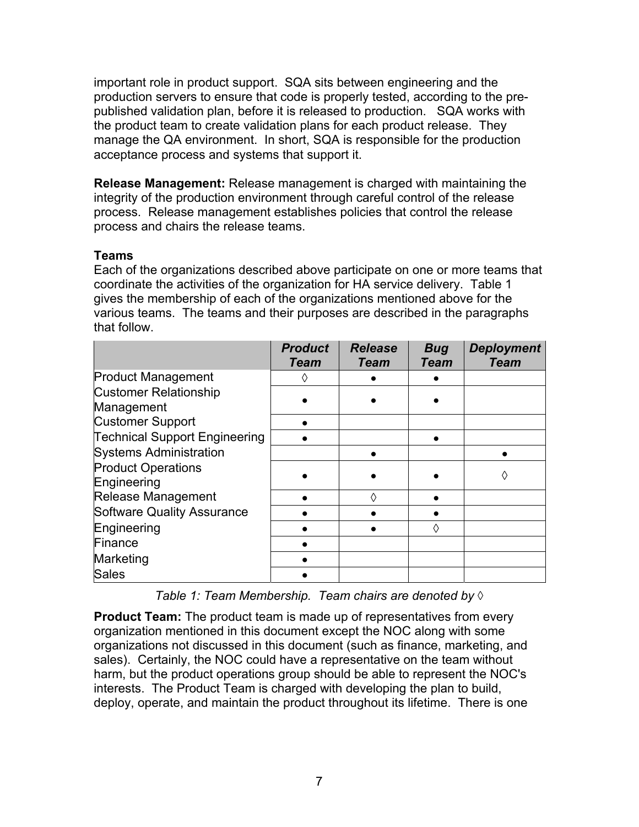important role in product support. SQA sits between engineering and the production servers to ensure that code is properly tested, according to the prepublished validation plan, before it is released to production. SQA works with the product team to create validation plans for each product release. They manage the QA environment. In short, SQA is responsible for the production acceptance process and systems that support it.

**Release Management:** Release management is charged with maintaining the integrity of the production environment through careful control of the release process. Release management establishes policies that control the release process and chairs the release teams.

#### **Teams**

Each of the organizations described above participate on one or more teams that coordinate the activities of the organization for HA service delivery. Table 1 gives the membership of each of the organizations mentioned above for the various teams. The teams and their purposes are described in the paragraphs that follow.

|                                            | <b>Product</b><br>Team | <b>Release</b><br><b>Team</b> | <b>Bug</b><br>Team | <b>Deployment</b><br><b>Team</b> |
|--------------------------------------------|------------------------|-------------------------------|--------------------|----------------------------------|
| <b>Product Management</b>                  |                        |                               |                    |                                  |
| <b>Customer Relationship</b><br>Management |                        |                               |                    |                                  |
| <b>Customer Support</b>                    |                        |                               |                    |                                  |
| <b>Technical Support Engineering</b>       |                        |                               |                    |                                  |
| <b>Systems Administration</b>              |                        |                               |                    |                                  |
| <b>Product Operations</b><br>Engineering   |                        |                               |                    | K)                               |
| Release Management                         |                        | Λ                             |                    |                                  |
| <b>Software Quality Assurance</b>          |                        |                               |                    |                                  |
| Engineering                                |                        |                               | ♦                  |                                  |
| Finance                                    |                        |                               |                    |                                  |
| Marketing                                  |                        |                               |                    |                                  |
| <b>Sales</b>                               |                        |                               |                    |                                  |

*Table 1: Team Membership. Team chairs are denoted by ◊*

**Product Team:** The product team is made up of representatives from every organization mentioned in this document except the NOC along with some organizations not discussed in this document (such as finance, marketing, and sales). Certainly, the NOC could have a representative on the team without harm, but the product operations group should be able to represent the NOC's interests. The Product Team is charged with developing the plan to build, deploy, operate, and maintain the product throughout its lifetime. There is one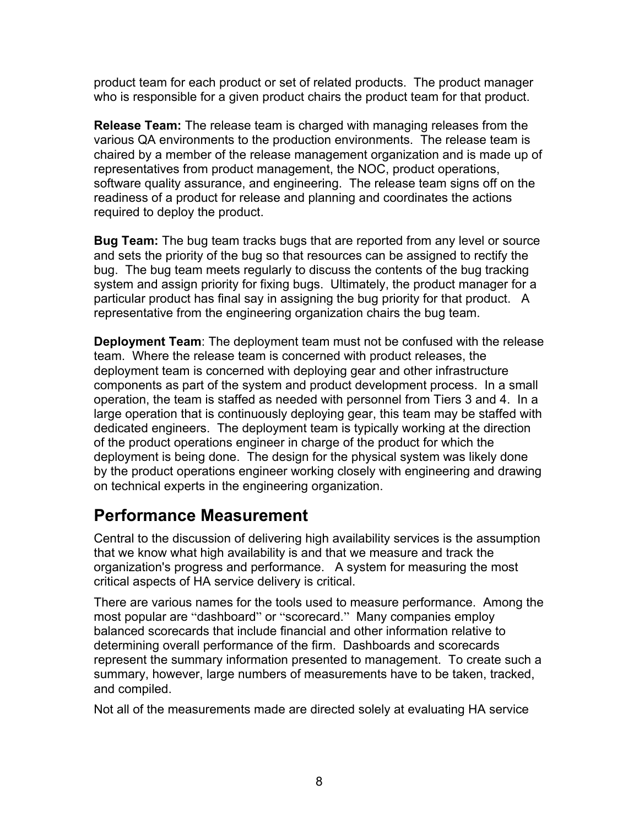product team for each product or set of related products. The product manager who is responsible for a given product chairs the product team for that product.

**Release Team:** The release team is charged with managing releases from the various QA environments to the production environments. The release team is chaired by a member of the release management organization and is made up of representatives from product management, the NOC, product operations, software quality assurance, and engineering. The release team signs off on the readiness of a product for release and planning and coordinates the actions required to deploy the product.

**Bug Team:** The bug team tracks bugs that are reported from any level or source and sets the priority of the bug so that resources can be assigned to rectify the bug. The bug team meets regularly to discuss the contents of the bug tracking system and assign priority for fixing bugs. Ultimately, the product manager for a particular product has final say in assigning the bug priority for that product. A representative from the engineering organization chairs the bug team.

**Deployment Team**: The deployment team must not be confused with the release team. Where the release team is concerned with product releases, the deployment team is concerned with deploying gear and other infrastructure components as part of the system and product development process. In a small operation, the team is staffed as needed with personnel from Tiers 3 and 4. In a large operation that is continuously deploying gear, this team may be staffed with dedicated engineers. The deployment team is typically working at the direction of the product operations engineer in charge of the product for which the deployment is being done. The design for the physical system was likely done by the product operations engineer working closely with engineering and drawing on technical experts in the engineering organization.

### **Performance Measurement**

Central to the discussion of delivering high availability services is the assumption that we know what high availability is and that we measure and track the organization's progress and performance. A system for measuring the most critical aspects of HA service delivery is critical.

There are various names for the tools used to measure performance. Among the most popular are "dashboard" or "scorecard." Many companies employ balanced scorecards that include financial and other information relative to determining overall performance of the firm. Dashboards and scorecards represent the summary information presented to management. To create such a summary, however, large numbers of measurements have to be taken, tracked, and compiled.

Not all of the measurements made are directed solely at evaluating HA service